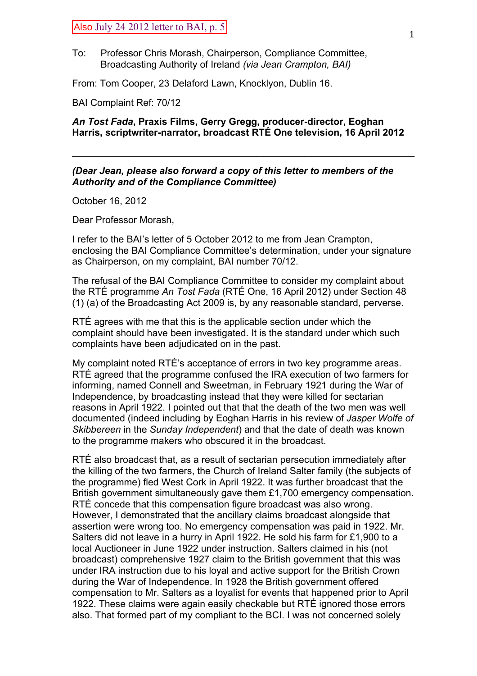## Also July 24 2012 letter to BAI, p. 5

To: Professor Chris Morash, Chairperson, Compliance Committee, Broadcasting Authority of Ireland *(via Jean Crampton, BAI)*

From: Tom Cooper, 23 Delaford Lawn, Knocklyon, Dublin 16.

BAI Complaint Ref: 70/12

## *An Tost Fada***, Praxis Films, Gerry Gregg, producer-director, Eoghan Harris, scriptwriter-narrator, broadcast RTÉ One television, 16 April 2012**

 $\mathcal{L}_\text{max}$  and  $\mathcal{L}_\text{max}$  and  $\mathcal{L}_\text{max}$  and  $\mathcal{L}_\text{max}$  and  $\mathcal{L}_\text{max}$  and  $\mathcal{L}_\text{max}$ 

## *(Dear Jean, please also forward a copy of this letter to members of the Authority and of the Compliance Committee)*

October 16, 2012

Dear Professor Morash,

I refer to the BAI's letter of 5 October 2012 to me from Jean Crampton, enclosing the BAI Compliance Committee's determination, under your signature as Chairperson, on my complaint, BAI number 70/12.

The refusal of the BAI Compliance Committee to consider my complaint about the RTÉ programme *An Tost Fada* (RTÉ One, 16 April 2012) under Section 48 (1) (a) of the Broadcasting Act 2009 is, by any reasonable standard, perverse.

RTÉ agrees with me that this is the applicable section under which the complaint should have been investigated. It is the standard under which such complaints have been adjudicated on in the past.

My complaint noted RTÉ's acceptance of errors in two key programme areas. RTÉ agreed that the programme confused the IRA execution of two farmers for informing, named Connell and Sweetman, in February 1921 during the War of Independence, by broadcasting instead that they were killed for sectarian reasons in April 1922. I pointed out that that the death of the two men was well documented (indeed including by Eoghan Harris in his review of *Jasper Wolfe of Skibbereen* in the *Sunday Independent*) and that the date of death was known to the programme makers who obscured it in the broadcast.

RTÉ also broadcast that, as a result of sectarian persecution immediately after the killing of the two farmers, the Church of Ireland Salter family (the subjects of the programme) fled West Cork in April 1922. It was further broadcast that the British government simultaneously gave them £1,700 emergency compensation. RTÉ concede that this compensation figure broadcast was also wrong. However, I demonstrated that the ancillary claims broadcast alongside that assertion were wrong too. No emergency compensation was paid in 1922. Mr. Salters did not leave in a hurry in April 1922. He sold his farm for £1,900 to a local Auctioneer in June 1922 under instruction. Salters claimed in his (not broadcast) comprehensive 1927 claim to the British government that this was under IRA instruction due to his loyal and active support for the British Crown during the War of Independence. In 1928 the British government offered compensation to Mr. Salters as a loyalist for events that happened prior to April 1922. These claims were again easily checkable but RTÉ ignored those errors also. That formed part of my compliant to the BCI. I was not concerned solely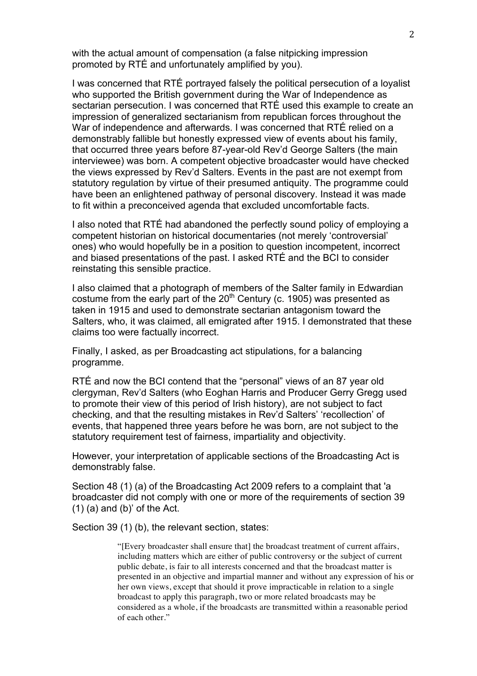with the actual amount of compensation (a false nitpicking impression promoted by RTÉ and unfortunately amplified by you).

I was concerned that RTÉ portrayed falsely the political persecution of a loyalist who supported the British government during the War of Independence as sectarian persecution. I was concerned that RTÉ used this example to create an impression of generalized sectarianism from republican forces throughout the War of independence and afterwards. I was concerned that RTÉ relied on a demonstrably fallible but honestly expressed view of events about his family, that occurred three years before 87-year-old Rev'd George Salters (the main interviewee) was born. A competent objective broadcaster would have checked the views expressed by Rev'd Salters. Events in the past are not exempt from statutory regulation by virtue of their presumed antiquity. The programme could have been an enlightened pathway of personal discovery. Instead it was made to fit within a preconceived agenda that excluded uncomfortable facts.

I also noted that RTÉ had abandoned the perfectly sound policy of employing a competent historian on historical documentaries (not merely 'controversial' ones) who would hopefully be in a position to question incompetent, incorrect and biased presentations of the past. I asked RTÉ and the BCI to consider reinstating this sensible practice.

I also claimed that a photograph of members of the Salter family in Edwardian costume from the early part of the  $20<sup>th</sup>$  Century (c. 1905) was presented as taken in 1915 and used to demonstrate sectarian antagonism toward the Salters, who, it was claimed, all emigrated after 1915. I demonstrated that these claims too were factually incorrect.

Finally, I asked, as per Broadcasting act stipulations, for a balancing programme.

RTÉ and now the BCI contend that the "personal" views of an 87 year old clergyman, Rev'd Salters (who Eoghan Harris and Producer Gerry Gregg used to promote their view of this period of Irish history), are not subject to fact checking, and that the resulting mistakes in Rev'd Salters' 'recollection' of events, that happened three years before he was born, are not subject to the statutory requirement test of fairness, impartiality and objectivity.

However, your interpretation of applicable sections of the Broadcasting Act is demonstrably false.

Section 48 (1) (a) of the Broadcasting Act 2009 refers to a complaint that 'a broadcaster did not comply with one or more of the requirements of section 39  $(1)$  (a) and (b)' of the Act.

Section 39 (1) (b), the relevant section, states:

"[Every broadcaster shall ensure that] the broadcast treatment of current affairs, including matters which are either of public controversy or the subject of current public debate, is fair to all interests concerned and that the broadcast matter is presented in an objective and impartial manner and without any expression of his or her own views, except that should it prove impracticable in relation to a single broadcast to apply this paragraph, two or more related broadcasts may be considered as a whole, if the broadcasts are transmitted within a reasonable period of each other."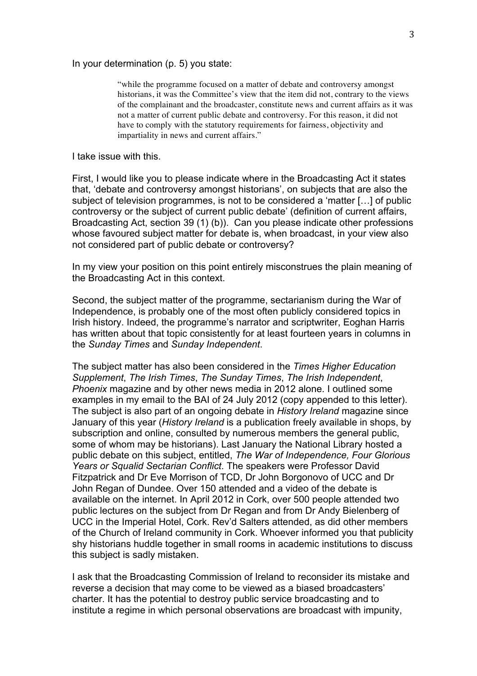In your determination (p. 5) you state:

"while the programme focused on a matter of debate and controversy amongst historians, it was the Committee's view that the item did not, contrary to the views of the complainant and the broadcaster, constitute news and current affairs as it was not a matter of current public debate and controversy. For this reason, it did not have to comply with the statutory requirements for fairness, objectivity and impartiality in news and current affairs."

I take issue with this.

First, I would like you to please indicate where in the Broadcasting Act it states that, 'debate and controversy amongst historians', on subjects that are also the subject of television programmes, is not to be considered a 'matter […] of public controversy or the subject of current public debate' (definition of current affairs, Broadcasting Act, section 39 (1) (b)). Can you please indicate other professions whose favoured subject matter for debate is, when broadcast, in your view also not considered part of public debate or controversy?

In my view your position on this point entirely misconstrues the plain meaning of the Broadcasting Act in this context.

Second, the subject matter of the programme, sectarianism during the War of Independence, is probably one of the most often publicly considered topics in Irish history. Indeed, the programme's narrator and scriptwriter, Eoghan Harris has written about that topic consistently for at least fourteen years in columns in the *Sunday Times* and *Sunday Independent*.

The subject matter has also been considered in the *Times Higher Education Supplement*, *The Irish Times*, *The Sunday Times*, *The Irish Independent*, *Phoenix* magazine and by other news media in 2012 alone. I outlined some examples in my email to the BAI of 24 July 2012 (copy appended to this letter). The subject is also part of an ongoing debate in *History Ireland* magazine since January of this year (*History Ireland* is a publication freely available in shops, by subscription and online, consulted by numerous members the general public, some of whom may be historians). Last January the National Library hosted a public debate on this subject, entitled, *The War of Independence, Four Glorious Years or Squalid Sectarian Conflict*. The speakers were Professor David Fitzpatrick and Dr Eve Morrison of TCD, Dr John Borgonovo of UCC and Dr John Regan of Dundee. Over 150 attended and a video of the debate is available on the internet. In April 2012 in Cork, over 500 people attended two public lectures on the subject from Dr Regan and from Dr Andy Bielenberg of UCC in the Imperial Hotel, Cork. Rev'd Salters attended, as did other members of the Church of Ireland community in Cork. Whoever informed you that publicity shy historians huddle together in small rooms in academic institutions to discuss this subject is sadly mistaken.

I ask that the Broadcasting Commission of Ireland to reconsider its mistake and reverse a decision that may come to be viewed as a biased broadcasters' charter. It has the potential to destroy public service broadcasting and to institute a regime in which personal observations are broadcast with impunity,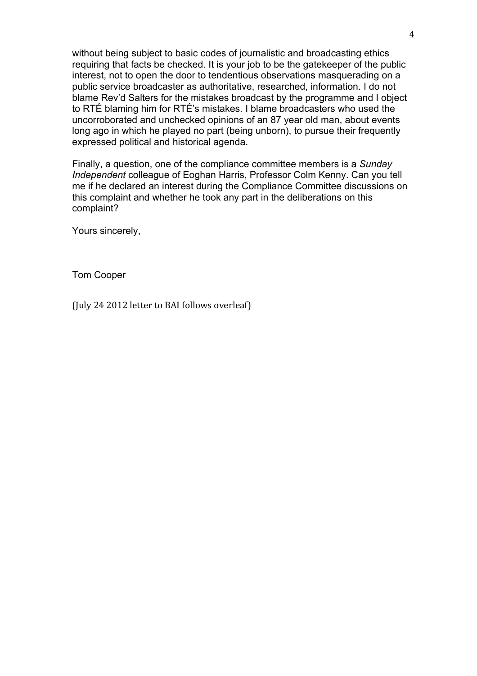without being subject to basic codes of journalistic and broadcasting ethics requiring that facts be checked. It is your job to be the gatekeeper of the public interest, not to open the door to tendentious observations masquerading on a public service broadcaster as authoritative, researched, information. I do not blame Rev'd Salters for the mistakes broadcast by the programme and I object to RTÉ blaming him for RTÉ's mistakes. I blame broadcasters who used the uncorroborated and unchecked opinions of an 87 year old man, about events long ago in which he played no part (being unborn), to pursue their frequently expressed political and historical agenda.

Finally, a question, one of the compliance committee members is a *Sunday Independent* colleague of Eoghan Harris, Professor Colm Kenny. Can you tell me if he declared an interest during the Compliance Committee discussions on this complaint and whether he took any part in the deliberations on this complaint?

Yours sincerely,

Tom Cooper

(July 24 2012 letter to BAI follows overleaf)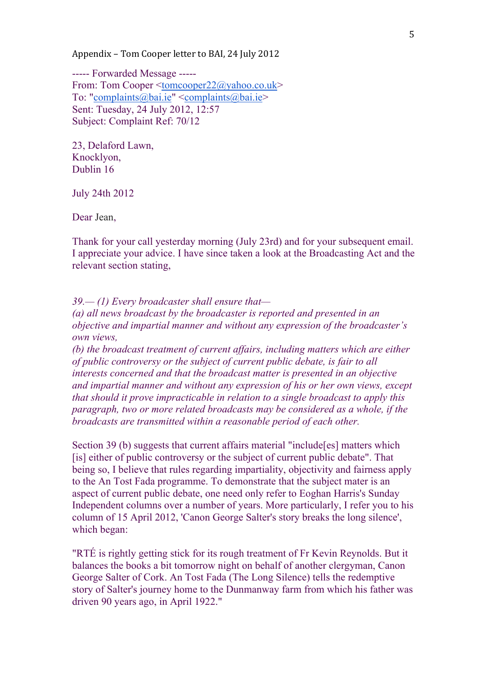Appendix – Tom Cooper letter to BAI, 24 July 2012

----- Forwarded Message ----- From: Tom Cooper <tomcooper22@yahoo.co.uk> To: "complaints@bai.ie"  $\leq$ complaints@bai.ie> Sent: Tuesday, 24 July 2012, 12:57 Subject: Complaint Ref: 70/12

23, Delaford Lawn, Knocklyon, Dublin 16

July 24th 2012

Dear Jean,

Thank for your call yesterday morning (July 23rd) and for your subsequent email. I appreciate your advice. I have since taken a look at the Broadcasting Act and the relevant section stating,

*39.— (1) Every broadcaster shall ensure that—*

*(a) all news broadcast by the broadcaster is reported and presented in an objective and impartial manner and without any expression of the broadcaster's own views,*

*(b) the broadcast treatment of current affairs, including matters which are either of public controversy or the subject of current public debate, is fair to all interests concerned and that the broadcast matter is presented in an objective and impartial manner and without any expression of his or her own views, except that should it prove impracticable in relation to a single broadcast to apply this paragraph, two or more related broadcasts may be considered as a whole, if the broadcasts are transmitted within a reasonable period of each other.*

Section 39 (b) suggests that current affairs material "include [es] matters which [is] either of public controversy or the subject of current public debate". That being so, I believe that rules regarding impartiality, objectivity and fairness apply to the An Tost Fada programme. To demonstrate that the subject mater is an aspect of current public debate, one need only refer to Eoghan Harris's Sunday Independent columns over a number of years. More particularly, I refer you to his column of 15 April 2012, 'Canon George Salter's story breaks the long silence', which began:

"RTÉ is rightly getting stick for its rough treatment of Fr Kevin Reynolds. But it balances the books a bit tomorrow night on behalf of another clergyman, Canon George Salter of Cork. An Tost Fada (The Long Silence) tells the redemptive story of Salter's journey home to the Dunmanway farm from which his father was driven 90 years ago, in April 1922."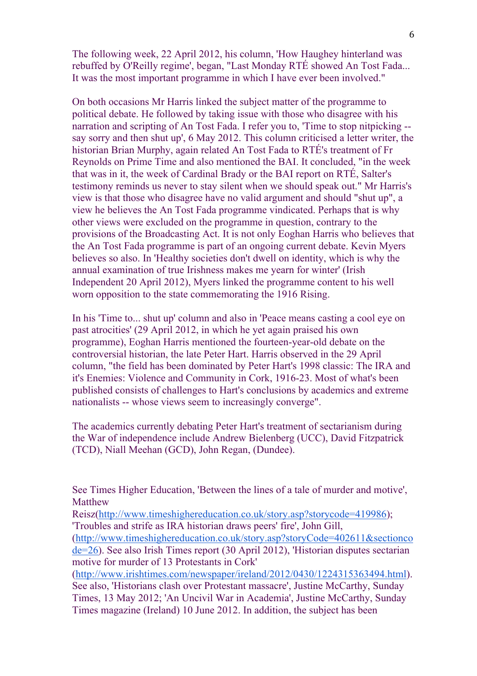The following week, 22 April 2012, his column, 'How Haughey hinterland was rebuffed by O'Reilly regime', began, "Last Monday RTÉ showed An Tost Fada... It was the most important programme in which I have ever been involved."

On both occasions Mr Harris linked the subject matter of the programme to political debate. He followed by taking issue with those who disagree with his narration and scripting of An Tost Fada. I refer you to, 'Time to stop nitpicking - say sorry and then shut up', 6 May 2012. This column criticised a letter writer, the historian Brian Murphy, again related An Tost Fada to RTÉ's treatment of Fr Reynolds on Prime Time and also mentioned the BAI. It concluded, "in the week that was in it, the week of Cardinal Brady or the BAI report on RTÉ, Salter's testimony reminds us never to stay silent when we should speak out." Mr Harris's view is that those who disagree have no valid argument and should "shut up", a view he believes the An Tost Fada programme vindicated. Perhaps that is why other views were excluded on the programme in question, contrary to the provisions of the Broadcasting Act. It is not only Eoghan Harris who believes that the An Tost Fada programme is part of an ongoing current debate. Kevin Myers believes so also. In 'Healthy societies don't dwell on identity, which is why the annual examination of true Irishness makes me yearn for winter' (Irish Independent 20 April 2012), Myers linked the programme content to his well worn opposition to the state commemorating the 1916 Rising.

In his 'Time to... shut up' column and also in 'Peace means casting a cool eye on past atrocities' (29 April 2012, in which he yet again praised his own programme), Eoghan Harris mentioned the fourteen-year-old debate on the controversial historian, the late Peter Hart. Harris observed in the 29 April column, "the field has been dominated by Peter Hart's 1998 classic: The IRA and it's Enemies: Violence and Community in Cork, 1916-23. Most of what's been published consists of challenges to Hart's conclusions by academics and extreme nationalists -- whose views seem to increasingly converge".

The academics currently debating Peter Hart's treatment of sectarianism during the War of independence include Andrew Bielenberg (UCC), David Fitzpatrick (TCD), Niall Meehan (GCD), John Regan, (Dundee).

See Times Higher Education, 'Between the lines of a tale of murder and motive', Matthew

Reisz(http://www.timeshighereducation.co.uk/story.asp?storycode=419986); 'Troubles and strife as IRA historian draws peers' fire', John Gill,

 $(http://www.timeshighereducation.co.uk/story.asp?storyCode=402611&sectionc$ de=26). See also Irish Times report (30 April 2012), 'Historian disputes sectarian motive for murder of 13 Protestants in Cork'

(http://www.irishtimes.com/newspaper/ireland/2012/0430/1224315363494.html). See also, 'Historians clash over Protestant massacre', Justine McCarthy, Sunday Times, 13 May 2012; 'An Uncivil War in Academia', Justine McCarthy, Sunday Times magazine (Ireland) 10 June 2012. In addition, the subject has been